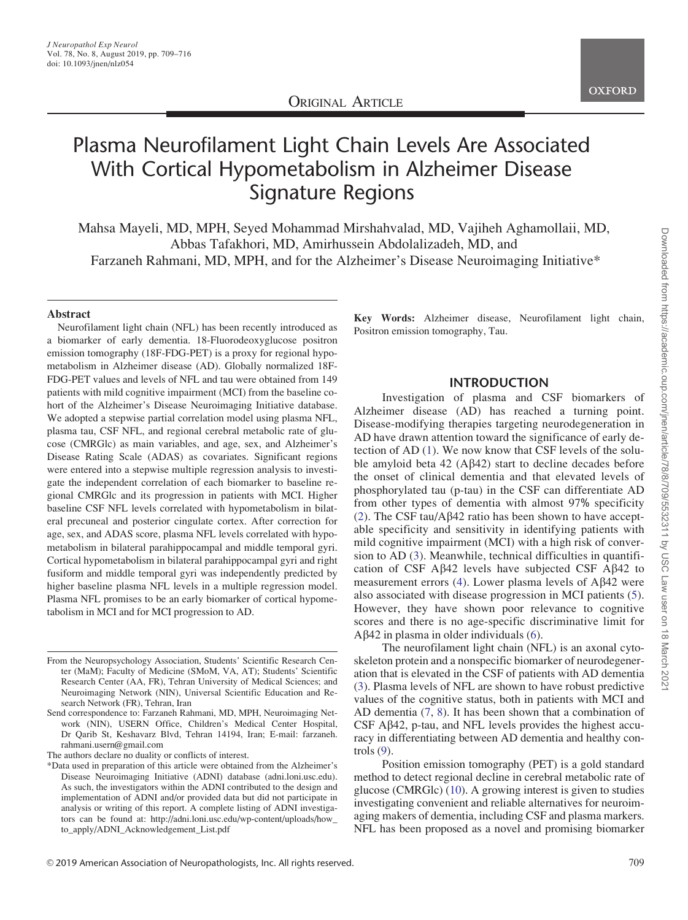

# Plasma Neurofilament Light Chain Levels Are Associated With Cortical Hypometabolism in Alzheimer Disease Signature Regions

Mahsa Mayeli, MD, MPH, Seyed Mohammad Mirshahvalad, MD, Vajiheh Aghamollaii, MD, Abbas Tafakhori, MD, Amirhussein Abdolalizadeh, MD, and Farzaneh Rahmani, MD, MPH, and for the Alzheimer's Disease Neuroimaging Initiative\*

#### Abstract

Neurofilament light chain (NFL) has been recently introduced as a biomarker of early dementia. 18-Fluorodeoxyglucose positron emission tomography (18F-FDG-PET) is a proxy for regional hypometabolism in Alzheimer disease (AD). Globally normalized 18F-FDG-PET values and levels of NFL and tau were obtained from 149 patients with mild cognitive impairment (MCI) from the baseline cohort of the Alzheimer's Disease Neuroimaging Initiative database. We adopted a stepwise partial correlation model using plasma NFL, plasma tau, CSF NFL, and regional cerebral metabolic rate of glucose (CMRGlc) as main variables, and age, sex, and Alzheimer's Disease Rating Scale (ADAS) as covariates. Significant regions were entered into a stepwise multiple regression analysis to investigate the independent correlation of each biomarker to baseline regional CMRGlc and its progression in patients with MCI. Higher baseline CSF NFL levels correlated with hypometabolism in bilateral precuneal and posterior cingulate cortex. After correction for age, sex, and ADAS score, plasma NFL levels correlated with hypometabolism in bilateral parahippocampal and middle temporal gyri. Cortical hypometabolism in bilateral parahippocampal gyri and right fusiform and middle temporal gyri was independently predicted by higher baseline plasma NFL levels in a multiple regression model. Plasma NFL promises to be an early biomarker of cortical hypometabolism in MCI and for MCI progression to AD.

The authors declare no duality or conflicts of interest.

Key Words: Alzheimer disease, Neurofilament light chain, Positron emission tomography, Tau.

#### INTRODUCTION

Investigation of plasma and CSF biomarkers of Alzheimer disease (AD) has reached a turning point. Disease-modifying therapies targeting neurodegeneration in AD have drawn attention toward the significance of early detection of AD ([1\)](#page-6-0). We now know that CSF levels of the soluble amyloid beta 42 ( $\text{A}\beta$ 42) start to decline decades before the onset of clinical dementia and that elevated levels of phosphorylated tau (p-tau) in the CSF can differentiate AD from other types of dementia with almost 97% specificity [\(2](#page-6-0)). The CSF tau/ $\mathbf{A}\beta 42$  ratio has been shown to have acceptable specificity and sensitivity in identifying patients with mild cognitive impairment (MCI) with a high risk of conversion to AD ([3\)](#page-6-0). Meanwhile, technical difficulties in quantification of CSF A $\beta$ 42 levels have subjected CSF A $\beta$ 42 to measurement errors  $(4)$  $(4)$ . Lower plasma levels of A $\beta$ 42 were also associated with disease progression in MCI patients ([5](#page-6-0)). However, they have shown poor relevance to cognitive scores and there is no age-specific discriminative limit for  $A\beta$ 42 in plasma in older individuals [\(6](#page-6-0)).

The neurofilament light chain (NFL) is an axonal cytoskeleton protein and a nonspecific biomarker of neurodegeneration that is elevated in the CSF of patients with AD dementia [\(3](#page-6-0)). Plasma levels of NFL are shown to have robust predictive values of the cognitive status, both in patients with MCI and AD dementia [\(7](#page-6-0), [8\)](#page-6-0). It has been shown that a combination of CSF  $\widehat{AB42}$ , p-tau, and NFL levels provides the highest accuracy in differentiating between AD dementia and healthy controls [\(9](#page-6-0)).

Position emission tomography (PET) is a gold standard method to detect regional decline in cerebral metabolic rate of glucose (CMRGlc) [\(10](#page-6-0)). A growing interest is given to studies investigating convenient and reliable alternatives for neuroimaging makers of dementia, including CSF and plasma markers. NFL has been proposed as a novel and promising biomarker

From the Neuropsychology Association, Students' Scientific Research Center (MaM); Faculty of Medicine (SMoM, VA, AT); Students' Scientific Research Center (AA, FR), Tehran University of Medical Sciences; and Neuroimaging Network (NIN), Universal Scientific Education and Research Network (FR), Tehran, Iran

Send correspondence to: Farzaneh Rahmani, MD, MPH, Neuroimaging Network (NIN), USERN Office, Children's Medical Center Hospital, Dr Qarib St, Keshavarz Blvd, Tehran 14194, Iran; E-mail: farzaneh. rahmani.usern@gmail.com

<sup>\*</sup>Data used in preparation of this article were obtained from the Alzheimer's Disease Neuroimaging Initiative (ADNI) database (adni.loni.usc.edu). As such, the investigators within the ADNI contributed to the design and implementation of ADNI and/or provided data but did not participate in analysis or writing of this report. A complete listing of ADNI investigators can be found at: [http://adni.loni.usc.edu/wp-content/uploads/how\\_](http://adni.loni.usc.edu/wp-content/uploads/how_to_apply/ADNI_Acknowledgement_List.pdf) [to\\_apply/ADNI\\_Acknowledgement\\_List.pdf](http://adni.loni.usc.edu/wp-content/uploads/how_to_apply/ADNI_Acknowledgement_List.pdf)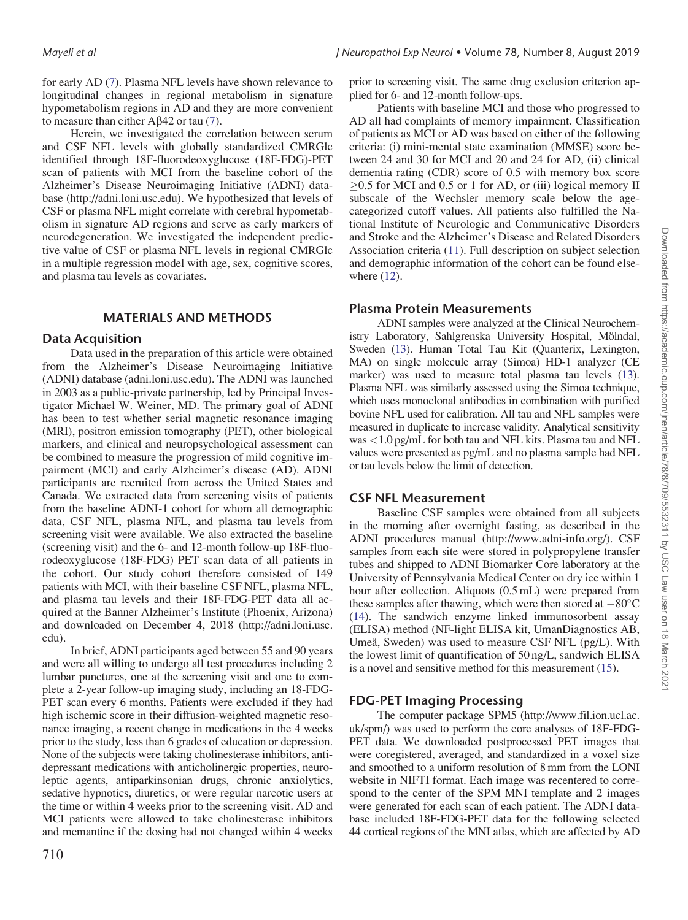for early AD ([7\)](#page-6-0). Plasma NFL levels have shown relevance to longitudinal changes in regional metabolism in signature hypometabolism regions in AD and they are more convenient to measure than either  $A\beta42$  or tau [\(7](#page-6-0)).

Herein, we investigated the correlation between serum and CSF NFL levels with globally standardized CMRGlc identified through 18F-fluorodeoxyglucose (18F-FDG)-PET scan of patients with MCI from the baseline cohort of the Alzheimer's Disease Neuroimaging Initiative (ADNI) database ([http://adni.loni.usc.edu\)](http://adni.loni.usc.edu). We hypothesized that levels of CSF or plasma NFL might correlate with cerebral hypometabolism in signature AD regions and serve as early markers of neurodegeneration. We investigated the independent predictive value of CSF or plasma NFL levels in regional CMRGlc in a multiple regression model with age, sex, cognitive scores, and plasma tau levels as covariates.

# MATERIALS AND METHODS

### Data Acquisition

Data used in the preparation of this article were obtained from the Alzheimer's Disease Neuroimaging Initiative (ADNI) database (adni.loni.usc.edu). The ADNI was launched in 2003 as a public-private partnership, led by Principal Investigator Michael W. Weiner, MD. The primary goal of ADNI has been to test whether serial magnetic resonance imaging (MRI), positron emission tomography (PET), other biological markers, and clinical and neuropsychological assessment can be combined to measure the progression of mild cognitive impairment (MCI) and early Alzheimer's disease (AD). ADNI participants are recruited from across the United States and Canada. We extracted data from screening visits of patients from the baseline ADNI-1 cohort for whom all demographic data, CSF NFL, plasma NFL, and plasma tau levels from screening visit were available. We also extracted the baseline (screening visit) and the 6- and 12-month follow-up 18F-fluorodeoxyglucose (18F-FDG) PET scan data of all patients in the cohort. Our study cohort therefore consisted of 149 patients with MCI, with their baseline CSF NFL, plasma NFL, and plasma tau levels and their 18F-FDG-PET data all acquired at the Banner Alzheimer's Institute (Phoenix, Arizona) and downloaded on December 4, 2018 [\(http://adni.loni.usc.](http://adni.loni.usc.edu) [edu](http://adni.loni.usc.edu)).

In brief, ADNI participants aged between 55 and 90 years and were all willing to undergo all test procedures including 2 lumbar punctures, one at the screening visit and one to complete a 2-year follow-up imaging study, including an 18-FDG-PET scan every 6 months. Patients were excluded if they had high ischemic score in their diffusion-weighted magnetic resonance imaging, a recent change in medications in the 4 weeks prior to the study, less than 6 grades of education or depression. None of the subjects were taking cholinesterase inhibitors, antidepressant medications with anticholinergic properties, neuroleptic agents, antiparkinsonian drugs, chronic anxiolytics, sedative hypnotics, diuretics, or were regular narcotic users at the time or within 4 weeks prior to the screening visit. AD and MCI patients were allowed to take cholinesterase inhibitors and memantine if the dosing had not changed within 4 weeks

prior to screening visit. The same drug exclusion criterion applied for 6- and 12-month follow-ups.

Patients with baseline MCI and those who progressed to AD all had complaints of memory impairment. Classification of patients as MCI or AD was based on either of the following criteria: (i) mini-mental state examination (MMSE) score between 24 and 30 for MCI and 20 and 24 for AD, (ii) clinical dementia rating (CDR) score of 0.5 with memory box score  $\geq$ 0.5 for MCI and 0.5 or 1 for AD, or (iii) logical memory II subscale of the Wechsler memory scale below the agecategorized cutoff values. All patients also fulfilled the National Institute of Neurologic and Communicative Disorders and Stroke and the Alzheimer's Disease and Related Disorders Association criteria ([11\)](#page-6-0). Full description on subject selection and demographic information of the cohort can be found elsewhere ([12\)](#page-6-0).

# Plasma Protein Measurements

ADNI samples were analyzed at the Clinical Neurochemistry Laboratory, Sahlgrenska University Hospital, Mölndal, Sweden [\(13](#page-7-0)). Human Total Tau Kit (Quanterix, Lexington, MA) on single molecule array (Simoa) HD-1 analyzer (CE marker) was used to measure total plasma tau levels ([13](#page-7-0)). Plasma NFL was similarly assessed using the Simoa technique, which uses monoclonal antibodies in combination with purified bovine NFL used for calibration. All tau and NFL samples were measured in duplicate to increase validity. Analytical sensitivity was <1.0 pg/mL for both tau and NFL kits. Plasma tau and NFL values were presented as pg/mL and no plasma sample had NFL or tau levels below the limit of detection.

# CSF NFL Measurement

Baseline CSF samples were obtained from all subjects in the morning after overnight fasting, as described in the ADNI procedures manual [\(http://www.adni-info.org/](http://www.adni-info.org/)). CSF samples from each site were stored in polypropylene transfer tubes and shipped to ADNI Biomarker Core laboratory at the University of Pennsylvania Medical Center on dry ice within 1 hour after collection. Aliquots (0.5 mL) were prepared from these samples after thawing, which were then stored at  $-80^{\circ}$ C [\(14](#page-7-0)). The sandwich enzyme linked immunosorbent assay (ELISA) method (NF-light ELISA kit, UmanDiagnostics AB, Umeå, Sweden) was used to measure CSF NFL (pg/L). With the lowest limit of quantification of 50 ng/L, sandwich ELISA is a novel and sensitive method for this measurement ([15\)](#page-7-0).

# FDG-PET Imaging Processing

The computer package SPM5 ([http://www.fil.ion.ucl.ac.](http://www.fil.ion.ucl.ac.uk/spm/) [uk/spm/](http://www.fil.ion.ucl.ac.uk/spm/)) was used to perform the core analyses of 18F-FDG-PET data. We downloaded postprocessed PET images that were coregistered, averaged, and standardized in a voxel size and smoothed to a uniform resolution of 8 mm from the LONI website in NIFTI format. Each image was recentered to correspond to the center of the SPM MNI template and 2 images were generated for each scan of each patient. The ADNI database included 18F-FDG-PET data for the following selected 44 cortical regions of the MNI atlas, which are affected by AD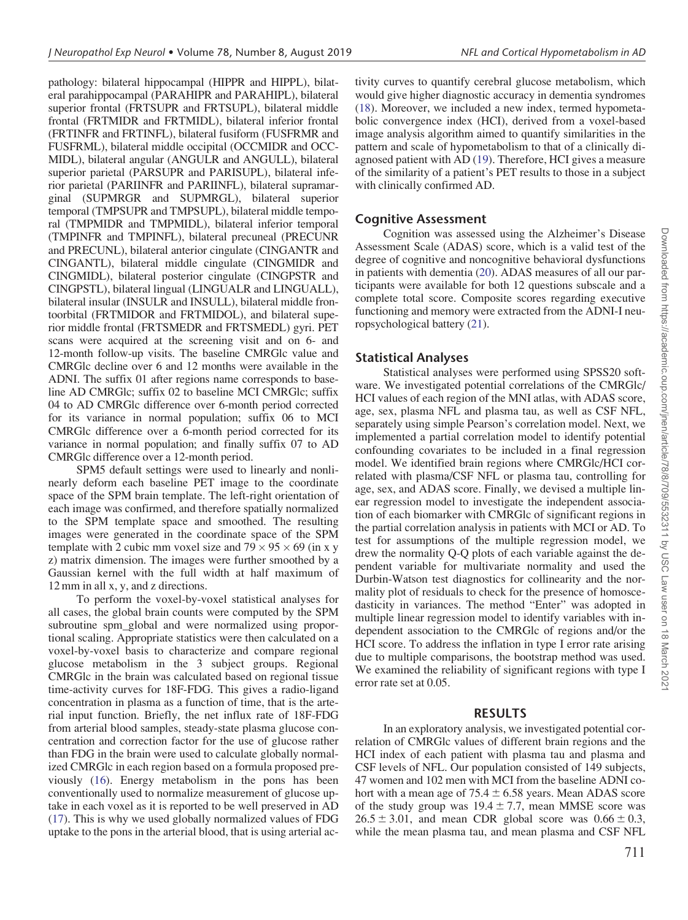pathology: bilateral hippocampal (HIPPR and HIPPL), bilateral parahippocampal (PARAHIPR and PARAHIPL), bilateral superior frontal (FRTSUPR and FRTSUPL), bilateral middle frontal (FRTMIDR and FRTMIDL), bilateral inferior frontal (FRTINFR and FRTINFL), bilateral fusiform (FUSFRMR and FUSFRML), bilateral middle occipital (OCCMIDR and OCC-MIDL), bilateral angular (ANGULR and ANGULL), bilateral superior parietal (PARSUPR and PARISUPL), bilateral inferior parietal (PARIINFR and PARIINFL), bilateral supramarginal (SUPMRGR and SUPMRGL), bilateral superior temporal (TMPSUPR and TMPSUPL), bilateral middle temporal (TMPMIDR and TMPMIDL), bilateral inferior temporal (TMPINFR and TMPINFL), bilateral precuneal (PRECUNR and PRECUNL), bilateral anterior cingulate (CINGANTR and CINGANTL), bilateral middle cingulate (CINGMIDR and CINGMIDL), bilateral posterior cingulate (CINGPSTR and CINGPSTL), bilateral lingual (LINGUALR and LINGUALL), bilateral insular (INSULR and INSULL), bilateral middle frontoorbital (FRTMIDOR and FRTMIDOL), and bilateral superior middle frontal (FRTSMEDR and FRTSMEDL) gyri. PET scans were acquired at the screening visit and on 6- and 12-month follow-up visits. The baseline CMRGlc value and CMRGlc decline over 6 and 12 months were available in the ADNI. The suffix 01 after regions name corresponds to baseline AD CMRGlc; suffix 02 to baseline MCI CMRGlc; suffix 04 to AD CMRGlc difference over 6-month period corrected for its variance in normal population; suffix 06 to MCI CMRGlc difference over a 6-month period corrected for its variance in normal population; and finally suffix 07 to AD CMRGlc difference over a 12-month period.

SPM5 default settings were used to linearly and nonlinearly deform each baseline PET image to the coordinate space of the SPM brain template. The left-right orientation of each image was confirmed, and therefore spatially normalized to the SPM template space and smoothed. The resulting images were generated in the coordinate space of the SPM template with 2 cubic mm voxel size and  $79 \times 95 \times 69$  (in x y z) matrix dimension. The images were further smoothed by a Gaussian kernel with the full width at half maximum of 12 mm in all x, y, and z directions.

To perform the voxel-by-voxel statistical analyses for all cases, the global brain counts were computed by the SPM subroutine spm\_global and were normalized using proportional scaling. Appropriate statistics were then calculated on a voxel-by-voxel basis to characterize and compare regional glucose metabolism in the 3 subject groups. Regional CMRGlc in the brain was calculated based on regional tissue time-activity curves for 18F-FDG. This gives a radio-ligand concentration in plasma as a function of time, that is the arterial input function. Briefly, the net influx rate of 18F-FDG from arterial blood samples, steady-state plasma glucose concentration and correction factor for the use of glucose rather than FDG in the brain were used to calculate globally normalized CMRGlc in each region based on a formula proposed previously [\(16](#page-7-0)). Energy metabolism in the pons has been conventionally used to normalize measurement of glucose uptake in each voxel as it is reported to be well preserved in AD [\(17](#page-7-0)). This is why we used globally normalized values of FDG uptake to the pons in the arterial blood, that is using arterial activity curves to quantify cerebral glucose metabolism, which would give higher diagnostic accuracy in dementia syndromes [\(18](#page-7-0)). Moreover, we included a new index, termed hypometabolic convergence index (HCI), derived from a voxel-based image analysis algorithm aimed to quantify similarities in the pattern and scale of hypometabolism to that of a clinically diagnosed patient with AD [\(19](#page-7-0)). Therefore, HCI gives a measure of the similarity of a patient's PET results to those in a subject with clinically confirmed AD.

#### Cognitive Assessment

Cognition was assessed using the Alzheimer's Disease Assessment Scale (ADAS) score, which is a valid test of the degree of cognitive and noncognitive behavioral dysfunctions in patients with dementia ([20\)](#page-7-0). ADAS measures of all our participants were available for both 12 questions subscale and a complete total score. Composite scores regarding executive functioning and memory were extracted from the ADNI-I neuropsychological battery ([21\)](#page-7-0).

### Statistical Analyses

Statistical analyses were performed using SPSS20 software. We investigated potential correlations of the CMRGlc/ HCI values of each region of the MNI atlas, with ADAS score, age, sex, plasma NFL and plasma tau, as well as CSF NFL, separately using simple Pearson's correlation model. Next, we implemented a partial correlation model to identify potential confounding covariates to be included in a final regression model. We identified brain regions where CMRGlc/HCI correlated with plasma/CSF NFL or plasma tau, controlling for age, sex, and ADAS score. Finally, we devised a multiple linear regression model to investigate the independent association of each biomarker with CMRGlc of significant regions in the partial correlation analysis in patients with MCI or AD. To test for assumptions of the multiple regression model, we drew the normality Q-Q plots of each variable against the dependent variable for multivariate normality and used the Durbin-Watson test diagnostics for collinearity and the normality plot of residuals to check for the presence of homoscedasticity in variances. The method "Enter" was adopted in multiple linear regression model to identify variables with independent association to the CMRGlc of regions and/or the HCI score. To address the inflation in type I error rate arising due to multiple comparisons, the bootstrap method was used. We examined the reliability of significant regions with type I error rate set at 0.05.

#### RESULTS

In an exploratory analysis, we investigated potential correlation of CMRGlc values of different brain regions and the HCI index of each patient with plasma tau and plasma and CSF levels of NFL. Our population consisted of 149 subjects, 47 women and 102 men with MCI from the baseline ADNI cohort with a mean age of  $75.4 \pm 6.58$  years. Mean ADAS score of the study group was  $19.4 \pm 7.7$ , mean MMSE score was  $26.5 \pm 3.01$ , and mean CDR global score was  $0.66 \pm 0.3$ , while the mean plasma tau, and mean plasma and CSF NFL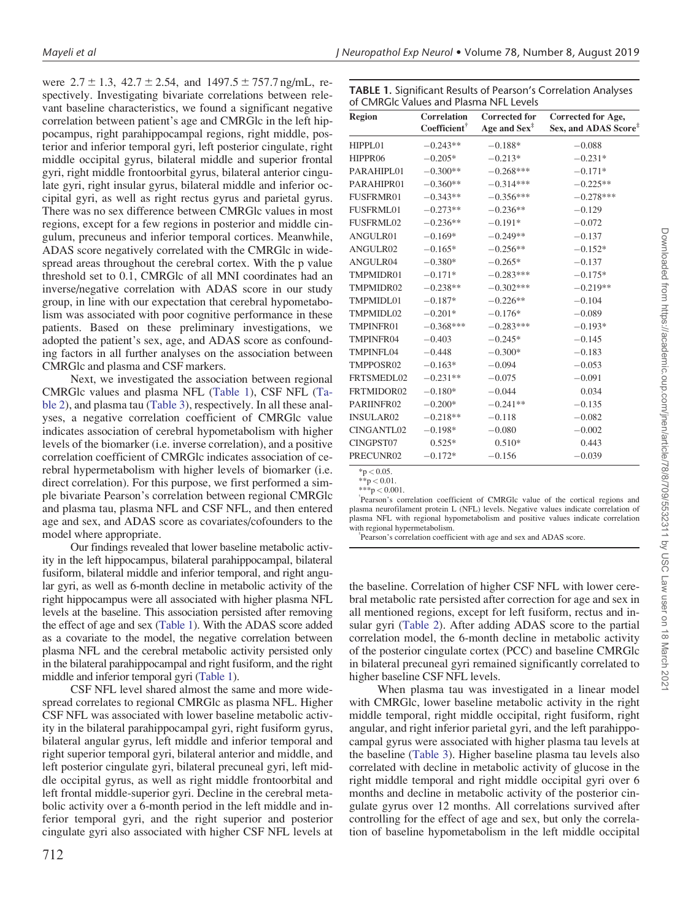were  $2.7 \pm 1.3$ ,  $42.7 \pm 2.54$ , and  $1497.5 \pm 757.7$  ng/mL, respectively. Investigating bivariate correlations between relevant baseline characteristics, we found a significant negative correlation between patient's age and CMRGlc in the left hippocampus, right parahippocampal regions, right middle, posterior and inferior temporal gyri, left posterior cingulate, right middle occipital gyrus, bilateral middle and superior frontal gyri, right middle frontoorbital gyrus, bilateral anterior cingulate gyri, right insular gyrus, bilateral middle and inferior occipital gyri, as well as right rectus gyrus and parietal gyrus. There was no sex difference between CMRGlc values in most regions, except for a few regions in posterior and middle cingulum, precuneus and inferior temporal cortices. Meanwhile, ADAS score negatively correlated with the CMRGlc in widespread areas throughout the cerebral cortex. With the p value threshold set to 0.1, CMRGlc of all MNI coordinates had an inverse/negative correlation with ADAS score in our study group, in line with our expectation that cerebral hypometabolism was associated with poor cognitive performance in these patients. Based on these preliminary investigations, we adopted the patient's sex, age, and ADAS score as confounding factors in all further analyses on the association between CMRGlc and plasma and CSF markers.

Next, we investigated the association between regional CMRGlc values and plasma NFL (Table 1), CSF NFL [\(Ta](#page-4-0)[ble 2](#page-4-0)), and plasma tau ([Table 3](#page-4-0)), respectively. In all these analyses, a negative correlation coefficient of CMRGlc value indicates association of cerebral hypometabolism with higher levels of the biomarker (i.e. inverse correlation), and a positive correlation coefficient of CMRGlc indicates association of cerebral hypermetabolism with higher levels of biomarker (i.e. direct correlation). For this purpose, we first performed a simple bivariate Pearson's correlation between regional CMRGlc and plasma tau, plasma NFL and CSF NFL, and then entered age and sex, and ADAS score as covariates/cofounders to the model where appropriate.

Our findings revealed that lower baseline metabolic activity in the left hippocampus, bilateral parahippocampal, bilateral fusiform, bilateral middle and inferior temporal, and right angular gyri, as well as 6-month decline in metabolic activity of the right hippocampus were all associated with higher plasma NFL levels at the baseline. This association persisted after removing the effect of age and sex (Table 1). With the ADAS score added as a covariate to the model, the negative correlation between plasma NFL and the cerebral metabolic activity persisted only in the bilateral parahippocampal and right fusiform, and the right middle and inferior temporal gyri (Table 1).

CSF NFL level shared almost the same and more widespread correlates to regional CMRGlc as plasma NFL. Higher CSF NFL was associated with lower baseline metabolic activity in the bilateral parahippocampal gyri, right fusiform gyrus, bilateral angular gyrus, left middle and inferior temporal and right superior temporal gyri, bilateral anterior and middle, and left posterior cingulate gyri, bilateral precuneal gyri, left middle occipital gyrus, as well as right middle frontoorbital and left frontal middle-superior gyri. Decline in the cerebral metabolic activity over a 6-month period in the left middle and inferior temporal gyri, and the right superior and posterior cingulate gyri also associated with higher CSF NFL levels at

TABLE 1. Significant Results of Pearson's Correlation Analyses of CMRGlc Values and Plasma NFL Levels

| <b>Region</b>    | Correlation<br>Coefficient <sup>†</sup> | <b>Corrected for</b><br>Age and $Sex^{\ddagger}$ | Corrected for Age,<br>Sex, and ADAS Score <sup>3</sup> |
|------------------|-----------------------------------------|--------------------------------------------------|--------------------------------------------------------|
| HIPPL01          | $-0.243**$                              | $-0.188*$                                        | $-0.088$                                               |
| HIPPR06          | $-0.205*$                               | $-0.213*$                                        | $-0.231*$                                              |
| PARAHIPL01       | $-0.300**$                              | $-0.268***$                                      | $-0.171*$                                              |
| PARAHIPR01       | $-0.360**$                              | $-0.314***$                                      | $-0.225**$                                             |
| FUSFRMR01        | $-0.343**$                              | $-0.356***$                                      | $-0.278***$                                            |
| FUSFRML01        | $-0.273**$                              | $-0.236**$                                       | $-0.129$                                               |
| FUSFRML02        | $-0.236**$                              | $-0.191*$                                        | $-0.072$                                               |
| ANGULR01         | $-0.169*$                               | $-0.249**$                                       | $-0.137$                                               |
| ANGULR02         | $-0.165*$                               | $-0.256**$                                       | $-0.152*$                                              |
| ANGULR04         | $-0.380*$                               | $-0.265*$                                        | $-0.137$                                               |
| TMPMIDR01        | $-0.171*$                               | $-0.283***$                                      | $-0.175*$                                              |
| TMPMIDR02        | $-0.238**$                              | $-0.302***$                                      | $-0.219**$                                             |
| TMPMIDL01        | $-0.187*$                               | $-0.226**$                                       | $-0.104$                                               |
| TMPMIDL02        | $-0.201*$                               | $-0.176*$                                        | $-0.089$                                               |
| TMPINFR01        | $-0.368***$                             | $-0.283***$                                      | $-0.193*$                                              |
| TMPINFR04        | $-0.403$                                | $-0.245*$                                        | $-0.145$                                               |
| TMPINFL04        | $-0.448$                                | $-0.300*$                                        | $-0.183$                                               |
| TMPPOSR02        | $-0.163*$                               | $-0.094$                                         | $-0.053$                                               |
| FRTSMEDL02       | $-0.231**$                              | $-0.075$                                         | $-0.091$                                               |
| FRTMIDOR02       | $-0.180*$                               | $-0.044$                                         | 0.034                                                  |
| PARIINFR02       | $-0.200*$                               | $-0.241**$                                       | $-0.135$                                               |
| <b>INSULAR02</b> | $-0.218**$                              | $-0.118$                                         | $-0.082$                                               |
| CINGANTL02       | $-0.198*$                               | $-0.080$                                         | $-0.002$                                               |
| CINGPST07        | $0.525*$                                | $0.510*$                                         | 0.443                                                  |
| PRECUNR02        | $-0.172*$                               | $-0.156$                                         | $-0.039$                                               |

 $*p < 0.05$ .

 $*$  $p$  < 0.01. \*\*\*p  $< 0.001$ .

Pearson's correlation coefficient of CMRGlc value of the cortical regions and plasma neurofilament protein L (NFL) levels. Negative values indicate correlation of plasma NFL with regional hypometabolism and positive values indicate correlation with regional hypermetabolism.

Pearson's correlation coefficient with age and sex and ADAS score.

the baseline. Correlation of higher CSF NFL with lower cerebral metabolic rate persisted after correction for age and sex in all mentioned regions, except for left fusiform, rectus and insular gyri [\(Table 2](#page-4-0)). After adding ADAS score to the partial correlation model, the 6-month decline in metabolic activity of the posterior cingulate cortex (PCC) and baseline CMRGlc in bilateral precuneal gyri remained significantly correlated to higher baseline CSF NFL levels.

When plasma tau was investigated in a linear model with CMRGlc, lower baseline metabolic activity in the right middle temporal, right middle occipital, right fusiform, right angular, and right inferior parietal gyri, and the left parahippocampal gyrus were associated with higher plasma tau levels at the baseline ([Table 3](#page-4-0)). Higher baseline plasma tau levels also correlated with decline in metabolic activity of glucose in the right middle temporal and right middle occipital gyri over 6 months and decline in metabolic activity of the posterior cingulate gyrus over 12 months. All correlations survived after controlling for the effect of age and sex, but only the correlation of baseline hypometabolism in the left middle occipital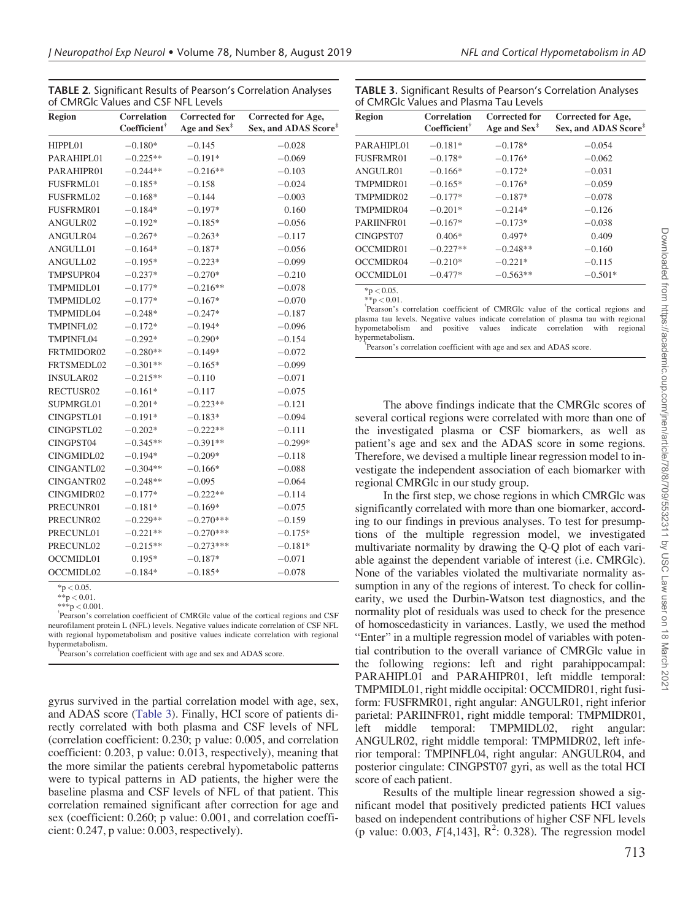<span id="page-4-0"></span>

| <b>TABLE 2.</b> Significant Results of Pearson's Correlation Analyses |  |
|-----------------------------------------------------------------------|--|
| of CMRGIc Values and CSF NFL Levels                                   |  |

| <b>Region</b>    | Correlation<br>Coefficient <sup>†</sup> | <b>Corrected for</b><br>Age and Sex <sup>‡</sup> | Corrected for Age,<br>Sex, and ADAS Score <sup>\$</sup> |
|------------------|-----------------------------------------|--------------------------------------------------|---------------------------------------------------------|
| HIPPL01          | $-0.180*$                               | $-0.145$                                         | $-0.028$                                                |
| PARAHIPL01       | $-0.225**$                              | $-0.191*$                                        | $-0.069$                                                |
| PARAHIPR01       | $-0.244**$                              | $-0.216**$                                       | $-0.103$                                                |
| <b>FUSFRML01</b> | $-0.185*$                               | $-0.158$                                         | $-0.024$                                                |
| FUSFRML02        | $-0.168*$                               | $-0.144$                                         | $-0.003$                                                |
| FUSFRMR01        | $-0.184*$                               | $-0.197*$                                        | 0.160                                                   |
| ANGULR02         | $-0.192*$                               | $-0.185*$                                        | $-0.056$                                                |
| ANGULR04         | $-0.267*$                               | $-0.263*$                                        | $-0.117$                                                |
| ANGULL01         | $-0.164*$                               | $-0.187*$                                        | $-0.056$                                                |
| ANGULL02         | $-0.195*$                               | $-0.223*$                                        | $-0.099$                                                |
| TMPSUPR04        | $-0.237*$                               | $-0.270*$                                        | $-0.210$                                                |
| TMPMIDL01        | $-0.177*$                               | $-0.216**$                                       | $-0.078$                                                |
| TMPMIDL02        | $-0.177*$                               | $-0.167*$                                        | $-0.070$                                                |
| TMPMIDL04        | $-0.248*$                               | $-0.247*$                                        | $-0.187$                                                |
| TMPINFL02        | $-0.172*$                               | $-0.194*$                                        | $-0.096$                                                |
| TMPINFL04        | $-0.292*$                               | $-0.290*$                                        | $-0.154$                                                |
| FRTMIDOR02       | $-0.280**$                              | $-0.149*$                                        | $-0.072$                                                |
| FRTSMEDL02       | $-0.301**$                              | $-0.165*$                                        | $-0.099$                                                |
| <b>INSULAR02</b> | $-0.215**$                              | $-0.110$                                         | $-0.071$                                                |
| RECTUSR02        | $-0.161*$                               | $-0.117$                                         | $-0.075$                                                |
| SUPMRGL01        | $-0.201*$                               | $-0.223**$                                       | $-0.121$                                                |
| CINGPSTL01       | $-0.191*$                               | $-0.183*$                                        | $-0.094$                                                |
| CINGPSTL02       | $-0.202*$                               | $-0.222**$                                       | $-0.111$                                                |
| CINGPST04        | $-0.345**$                              | $-0.391**$                                       | $-0.299*$                                               |
| CINGMIDL02       | $-0.194*$                               | $-0.209*$                                        | $-0.118$                                                |
| CINGANTL02       | $-0.304**$                              | $-0.166*$                                        | $-0.088$                                                |
| CINGANTR02       | $-0.248**$                              | $-0.095$                                         | $-0.064$                                                |
| CINGMIDR02       | $-0.177*$                               | $-0.222**$                                       | $-0.114$                                                |
| PRECUNR01        | $-0.181*$                               | $-0.169*$                                        | $-0.075$                                                |
| PRECUNR02        | $-0.229**$                              | $-0.270***$                                      | $-0.159$                                                |
| PRECUNL01        | $-0.221**$                              | $-0.270***$                                      | $-0.175*$                                               |
| PRECUNL02        | $-0.215**$                              | $-0.273***$                                      | $-0.181*$                                               |
| OCCMIDL01        | $0.195*$                                | $-0.187*$                                        | $-0.071$                                                |
| OCCMIDL02        | $-0.184*$                               | $-0.185*$                                        | $-0.078$                                                |

 $*p < 0.05$ .

 $*$  $p$  < 0.01.

 $***p < 0.001$ .

Pearson's correlation coefficient of CMRGlc value of the cortical regions and CSF neurofilament protein L (NFL) levels. Negative values indicate correlation of CSF NFL with regional hypometabolism and positive values indicate correlation with regional hypermetabolism<sup>1</sup>

Pearson's correlation coefficient with age and sex and ADAS score.

gyrus survived in the partial correlation model with age, sex, and ADAS score (Table 3). Finally, HCI score of patients directly correlated with both plasma and CSF levels of NFL (correlation coefficient: 0.230; p value: 0.005, and correlation coefficient: 0.203, p value: 0.013, respectively), meaning that the more similar the patients cerebral hypometabolic patterns were to typical patterns in AD patients, the higher were the baseline plasma and CSF levels of NFL of that patient. This correlation remained significant after correction for age and sex (coefficient: 0.260; p value: 0.001, and correlation coefficient: 0.247, p value: 0.003, respectively).

| <b>TABLE 3.</b> Significant Results of Pearson's Correlation Analyses |
|-----------------------------------------------------------------------|
| of CMRGIc Values and Plasma Tau Levels                                |

| Region     | <b>Correlation</b><br>Coefficient <sup>†</sup> | <b>Corrected for</b><br>Age and $Sex^{\ddagger}$ | Corrected for Age,<br>Sex, and ADAS Score <sup>#</sup> |
|------------|------------------------------------------------|--------------------------------------------------|--------------------------------------------------------|
| PARAHIPL01 | $-0.181*$                                      | $-0.178*$                                        | $-0.054$                                               |
| FUSFRMR01  | $-0.178*$                                      | $-0.176*$                                        | $-0.062$                                               |
| ANGULR01   | $-0.166*$                                      | $-0.172*$                                        | $-0.031$                                               |
| TMPMIDR01  | $-0.165*$                                      | $-0.176*$                                        | $-0.059$                                               |
| TMPMIDR02  | $-0.177*$                                      | $-0.187*$                                        | $-0.078$                                               |
| TMPMIDR04  | $-0.201*$                                      | $-0.214*$                                        | $-0.126$                                               |
| PARIINFR01 | $-0.167*$                                      | $-0.173*$                                        | $-0.038$                                               |
| CINGPST07  | $0.406*$                                       | $0.497*$                                         | 0.409                                                  |
| OCCMIDR01  | $-0.227**$                                     | $-0.248**$                                       | $-0.160$                                               |
| OCCMIDR04  | $-0.210*$                                      | $-0.221*$                                        | $-0.115$                                               |
| OCCMIDL01  | $-0.477*$                                      | $-0.563**$                                       | $-0.501*$                                              |

 $*p < 0.05$ .  $*$ p  $< 0.01$ .

Pearson's correlation coefficient of CMRGlc value of the cortical regions and plasma tau levels. Negative values indicate correlation of plasma tau with regional hypometabolism and positive values indicate correlation with regional hypermetabolism. ‡

Pearson's correlation coefficient with age and sex and ADAS score.

The above findings indicate that the CMRGlc scores of several cortical regions were correlated with more than one of the investigated plasma or CSF biomarkers, as well as patient's age and sex and the ADAS score in some regions. Therefore, we devised a multiple linear regression model to investigate the independent association of each biomarker with regional CMRGlc in our study group.

In the first step, we chose regions in which CMRGlc was significantly correlated with more than one biomarker, according to our findings in previous analyses. To test for presumptions of the multiple regression model, we investigated multivariate normality by drawing the Q-Q plot of each variable against the dependent variable of interest (i.e. CMRGlc). None of the variables violated the multivariate normality assumption in any of the regions of interest. To check for collinearity, we used the Durbin-Watson test diagnostics, and the normality plot of residuals was used to check for the presence of homoscedasticity in variances. Lastly, we used the method "Enter" in a multiple regression model of variables with potential contribution to the overall variance of CMRGlc value in the following regions: left and right parahippocampal: PARAHIPL01 and PARAHIPR01, left middle temporal: TMPMIDL01, right middle occipital: OCCMIDR01, right fusiform: FUSFRMR01, right angular: ANGULR01, right inferior parietal: PARIINFR01, right middle temporal: TMPMIDR01, left middle temporal: TMPMIDL02, right angular: ANGULR02, right middle temporal: TMPMIDR02, left inferior temporal: TMPINFL04, right angular: ANGULR04, and posterior cingulate: CINGPST07 gyri, as well as the total HCI score of each patient.

Results of the multiple linear regression showed a significant model that positively predicted patients HCI values based on independent contributions of higher CSF NFL levels (p value: 0.003,  $F[4,143]$ ,  $R^2$ : 0.328). The regression model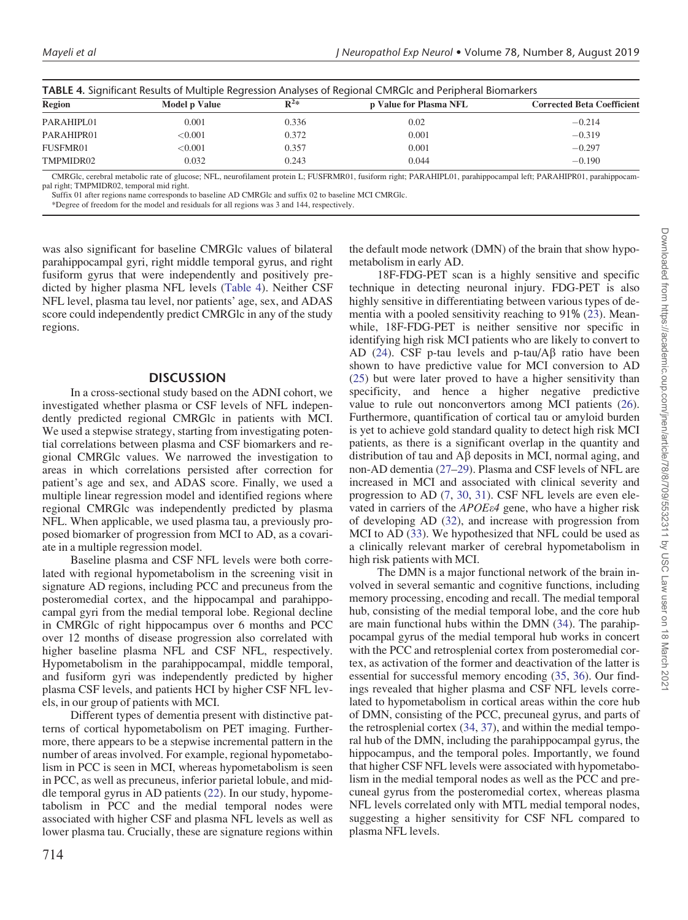| Region     | <b>Model p Value</b> | $\mathbb{R}^{2*}$ | <b>p</b> Value for Plasma NFL | <b>Corrected Beta Coefficient</b> |
|------------|----------------------|-------------------|-------------------------------|-----------------------------------|
| PARAHIPL01 | 0.001                | 0.336             | 0.02                          | $-0.214$                          |
| PARAHIPR01 | ${<}0.001$           | 0.372             | 0.001                         | $-0.319$                          |
| FUSFMR01   | ${<}0.001$           | 0.357             | 0.001                         | $-0.297$                          |
| TMPMIDR02  | 0.032                | 0.243             | 0.044                         | $-0.190$                          |

CMRGlc, cerebral metabolic rate of glucose; NFL, neurofilament protein L; FUSFRMR01, fusiform right; PARAHIPL01, parahippocampal left; PARAHIPR01, parahippocampal right; TMPMIDR02, temporal mid right.

Suffix 01 after regions name corresponds to baseline AD CMRGlc and suffix 02 to baseline MCI CMRGlc. \*Degree of freedom for the model and residuals for all regions was 3 and 144, respectively.

was also significant for baseline CMRGlc values of bilateral parahippocampal gyri, right middle temporal gyrus, and right fusiform gyrus that were independently and positively predicted by higher plasma NFL levels (Table 4). Neither CSF NFL level, plasma tau level, nor patients' age, sex, and ADAS score could independently predict CMRGlc in any of the study regions.

#### **DISCUSSION**

In a cross-sectional study based on the ADNI cohort, we investigated whether plasma or CSF levels of NFL independently predicted regional CMRGlc in patients with MCI. We used a stepwise strategy, starting from investigating potential correlations between plasma and CSF biomarkers and regional CMRGlc values. We narrowed the investigation to areas in which correlations persisted after correction for patient's age and sex, and ADAS score. Finally, we used a multiple linear regression model and identified regions where regional CMRGlc was independently predicted by plasma NFL. When applicable, we used plasma tau, a previously proposed biomarker of progression from MCI to AD, as a covariate in a multiple regression model.

Baseline plasma and CSF NFL levels were both correlated with regional hypometabolism in the screening visit in signature AD regions, including PCC and precuneus from the posteromedial cortex, and the hippocampal and parahippocampal gyri from the medial temporal lobe. Regional decline in CMRGlc of right hippocampus over 6 months and PCC over 12 months of disease progression also correlated with higher baseline plasma NFL and CSF NFL, respectively. Hypometabolism in the parahippocampal, middle temporal, and fusiform gyri was independently predicted by higher plasma CSF levels, and patients HCI by higher CSF NFL levels, in our group of patients with MCI.

Different types of dementia present with distinctive patterns of cortical hypometabolism on PET imaging. Furthermore, there appears to be a stepwise incremental pattern in the number of areas involved. For example, regional hypometabolism in PCC is seen in MCI, whereas hypometabolism is seen in PCC, as well as precuneus, inferior parietal lobule, and middle temporal gyrus in AD patients ([22\)](#page-7-0). In our study, hypometabolism in PCC and the medial temporal nodes were associated with higher CSF and plasma NFL levels as well as lower plasma tau. Crucially, these are signature regions within

the default mode network (DMN) of the brain that show hypometabolism in early AD.

18F-FDG-PET scan is a highly sensitive and specific technique in detecting neuronal injury. FDG-PET is also highly sensitive in differentiating between various types of dementia with a pooled sensitivity reaching to 91% ([23](#page-7-0)). Meanwhile, 18F-FDG-PET is neither sensitive nor specific in identifying high risk MCI patients who are likely to convert to AD ([24\)](#page-7-0). CSF p-tau levels and p-tau/A $\beta$  ratio have been shown to have predictive value for MCI conversion to AD [\(25](#page-7-0)) but were later proved to have a higher sensitivity than specificity, and hence a higher negative predictive value to rule out nonconvertors among MCI patients [\(26](#page-7-0)). Furthermore, quantification of cortical tau or amyloid burden is yet to achieve gold standard quality to detect high risk MCI patients, as there is a significant overlap in the quantity and distribution of tau and  $\overrightarrow{AB}$  deposits in MCI, normal aging, and non-AD dementia ([27–29\)](#page-7-0). Plasma and CSF levels of NFL are increased in MCI and associated with clinical severity and progression to AD ([7,](#page-6-0) [30](#page-7-0), [31\)](#page-7-0). CSF NFL levels are even elevated in carriers of the *APOE<sup>e4</sup>* gene, who have a higher risk of developing AD ([32\)](#page-7-0), and increase with progression from MCI to AD [\(33\)](#page-7-0). We hypothesized that NFL could be used as a clinically relevant marker of cerebral hypometabolism in high risk patients with MCI.

The DMN is a major functional network of the brain involved in several semantic and cognitive functions, including memory processing, encoding and recall. The medial temporal hub, consisting of the medial temporal lobe, and the core hub are main functional hubs within the DMN ([34](#page-7-0)). The parahippocampal gyrus of the medial temporal hub works in concert with the PCC and retrosplenial cortex from posteromedial cortex, as activation of the former and deactivation of the latter is essential for successful memory encoding ([35,](#page-7-0) [36](#page-7-0)). Our findings revealed that higher plasma and CSF NFL levels correlated to hypometabolism in cortical areas within the core hub of DMN, consisting of the PCC, precuneal gyrus, and parts of the retrosplenial cortex [\(34](#page-7-0), [37\)](#page-7-0), and within the medial temporal hub of the DMN, including the parahippocampal gyrus, the hippocampus, and the temporal poles. Importantly, we found that higher CSF NFL levels were associated with hypometabolism in the medial temporal nodes as well as the PCC and precuneal gyrus from the posteromedial cortex, whereas plasma NFL levels correlated only with MTL medial temporal nodes, suggesting a higher sensitivity for CSF NFL compared to plasma NFL levels.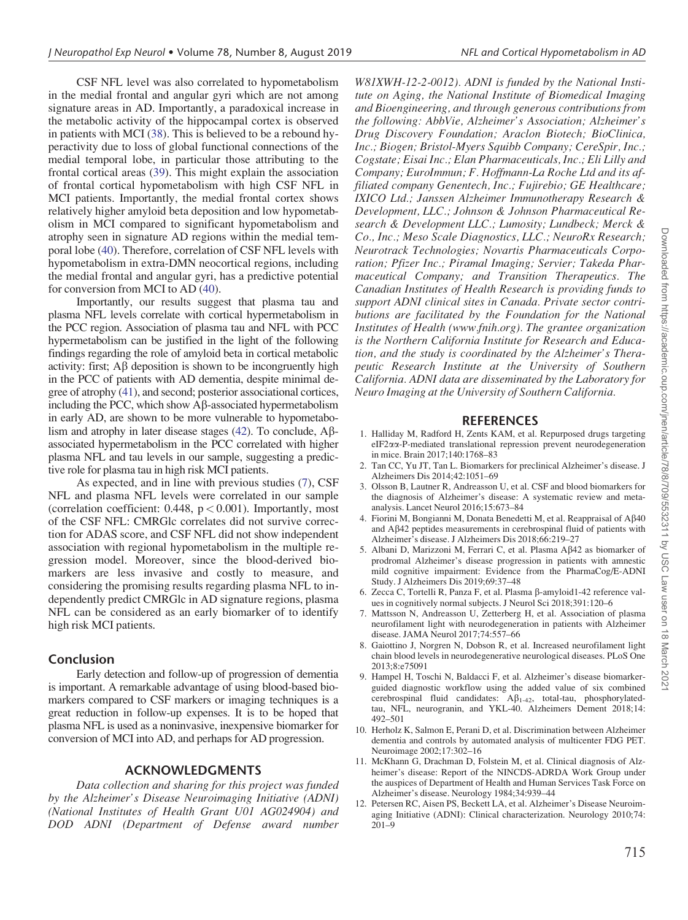<span id="page-6-0"></span>CSF NFL level was also correlated to hypometabolism in the medial frontal and angular gyri which are not among signature areas in AD. Importantly, a paradoxical increase in the metabolic activity of the hippocampal cortex is observed in patients with MCI ([38](#page-7-0)). This is believed to be a rebound hyperactivity due to loss of global functional connections of the medial temporal lobe, in particular those attributing to the frontal cortical areas [\(39](#page-7-0)). This might explain the association of frontal cortical hypometabolism with high CSF NFL in MCI patients. Importantly, the medial frontal cortex shows relatively higher amyloid beta deposition and low hypometabolism in MCI compared to significant hypometabolism and atrophy seen in signature AD regions within the medial temporal lobe [\(40](#page-7-0)). Therefore, correlation of CSF NFL levels with hypometabolism in extra-DMN neocortical regions, including the medial frontal and angular gyri, has a predictive potential for conversion from MCI to AD ([40](#page-7-0)).

Importantly, our results suggest that plasma tau and plasma NFL levels correlate with cortical hypermetabolism in the PCC region. Association of plasma tau and NFL with PCC hypermetabolism can be justified in the light of the following findings regarding the role of amyloid beta in cortical metabolic activity: first;  $\overrightarrow{AB}$  deposition is shown to be incongruently high in the PCC of patients with AD dementia, despite minimal degree of atrophy [\(41\)](#page-7-0), and second; posterior associational cortices, including the PCC, which show  $\mathbf{A}\beta$ -associated hypermetabolism in early AD, are shown to be more vulnerable to hypometabolism and atrophy in later disease stages  $(42)$ . To conclude,  $\mathbf{A}\beta$ associated hypermetabolism in the PCC correlated with higher plasma NFL and tau levels in our sample, suggesting a predictive role for plasma tau in high risk MCI patients.

As expected, and in line with previous studies (7), CSF NFL and plasma NFL levels were correlated in our sample (correlation coefficient:  $0.448$ ,  $p < 0.001$ ). Importantly, most of the CSF NFL: CMRGlc correlates did not survive correction for ADAS score, and CSF NFL did not show independent association with regional hypometabolism in the multiple regression model. Moreover, since the blood-derived biomarkers are less invasive and costly to measure, and considering the promising results regarding plasma NFL to independently predict CMRGlc in AD signature regions, plasma NFL can be considered as an early biomarker of to identify high risk MCI patients.

#### Conclusion

Early detection and follow-up of progression of dementia is important. A remarkable advantage of using blood-based biomarkers compared to CSF markers or imaging techniques is a great reduction in follow-up expenses. It is to be hoped that plasma NFL is used as a noninvasive, inexpensive biomarker for conversion of MCI into AD, and perhaps for AD progression.

#### ACKNOWLEDGMENTS

Data collection and sharing for this project was funded by the Alzheimer's Disease Neuroimaging Initiative (ADNI) (National Institutes of Health Grant U01 AG024904) and DOD ADNI (Department of Defense award number

W81XWH-12-2-0012). ADNI is funded by the National Institute on Aging, the National Institute of Biomedical Imaging and Bioengineering, and through generous contributions from the following: AbbVie, Alzheimer's Association; Alzheimer's Drug Discovery Foundation; Araclon Biotech; BioClinica, Inc.; Biogen; Bristol-Myers Squibb Company; CereSpir, Inc.; Cogstate; Eisai Inc.; Elan Pharmaceuticals, Inc.; Eli Lilly and Company; EuroImmun; F. Hoffmann-La Roche Ltd and its affiliated company Genentech, Inc.; Fujirebio; GE Healthcare; IXICO Ltd.; Janssen Alzheimer Immunotherapy Research & Development, LLC.; Johnson & Johnson Pharmaceutical Research & Development LLC.; Lumosity; Lundbeck; Merck & Co., Inc.; Meso Scale Diagnostics, LLC.; NeuroRx Research; Neurotrack Technologies; Novartis Pharmaceuticals Corporation; Pfizer Inc.; Piramal Imaging; Servier; Takeda Pharmaceutical Company; and Transition Therapeutics. The Canadian Institutes of Health Research is providing funds to support ADNI clinical sites in Canada. Private sector contributions are facilitated by the Foundation for the National Institutes of Health (www.fnih.org). The grantee organization is the Northern California Institute for Research and Education, and the study is coordinated by the Alzheimer's Therapeutic Research Institute at the University of Southern California. ADNI data are disseminated by the Laboratory for Neuro Imaging at the University of Southern California.

### **REFERENCES**

- 1. Halliday M, Radford H, Zents KAM, et al. Repurposed drugs targeting eIF2aa-P-mediated translational repression prevent neurodegeneration in mice. Brain 2017;140:1768–83
- 2. Tan CC, Yu JT, Tan L. Biomarkers for preclinical Alzheimer's disease. J Alzheimers Dis 2014;42:1051–69
- 3. Olsson B, Lautner R, Andreasson U, et al. CSF and blood biomarkers for the diagnosis of Alzheimer's disease: A systematic review and metaanalysis. Lancet Neurol 2016;15:673–84
- 4. Fiorini M, Bongianni M, Donata Benedetti M, et al. Reappraisal of  $A\beta40$ and  $A\beta42$  peptides measurements in cerebrospinal fluid of patients with Alzheimer's disease. J Alzheimers Dis 2018;66:219–27
- 5. Albani D, Marizzoni M, Ferrari C, et al. Plasma  $\text{A}\beta42$  as biomarker of prodromal Alzheimer's disease progression in patients with amnestic mild cognitive impairment: Evidence from the PharmaCog/E-ADNI Study. J Alzheimers Dis 2019;69:37–48
- 6. Zecca C, Tortelli R, Panza F, et al. Plasma β-amyloid1-42 reference values in cognitively normal subjects. J Neurol Sci 2018;391:120–6
- 7. Mattsson N, Andreasson U, Zetterberg H, et al. Association of plasma neurofilament light with neurodegeneration in patients with Alzheimer disease. JAMA Neurol 2017;74:557–66
- 8. Gaiottino J, Norgren N, Dobson R, et al. Increased neurofilament light chain blood levels in neurodegenerative neurological diseases. PLoS One 2013;8:e75091
- 9. Hampel H, Toschi N, Baldacci F, et al. Alzheimer's disease biomarkerguided diagnostic workflow using the added value of six combined cerebrospinal fluid candidates:  $A\beta_{1-42}$ , total-tau, phosphorylatedtau, NFL, neurogranin, and YKL-40. Alzheimers Dement 2018;14: 492–501
- 10. Herholz K, Salmon E, Perani D, et al. Discrimination between Alzheimer dementia and controls by automated analysis of multicenter FDG PET. Neuroimage 2002;17:302–16
- 11. McKhann G, Drachman D, Folstein M, et al. Clinical diagnosis of Alzheimer's disease: Report of the NINCDS-ADRDA Work Group under the auspices of Department of Health and Human Services Task Force on Alzheimer's disease. Neurology 1984;34:939–44
- 12. Petersen RC, Aisen PS, Beckett LA, et al. Alzheimer's Disease Neuroimaging Initiative (ADNI): Clinical characterization. Neurology 2010;74: 201–9